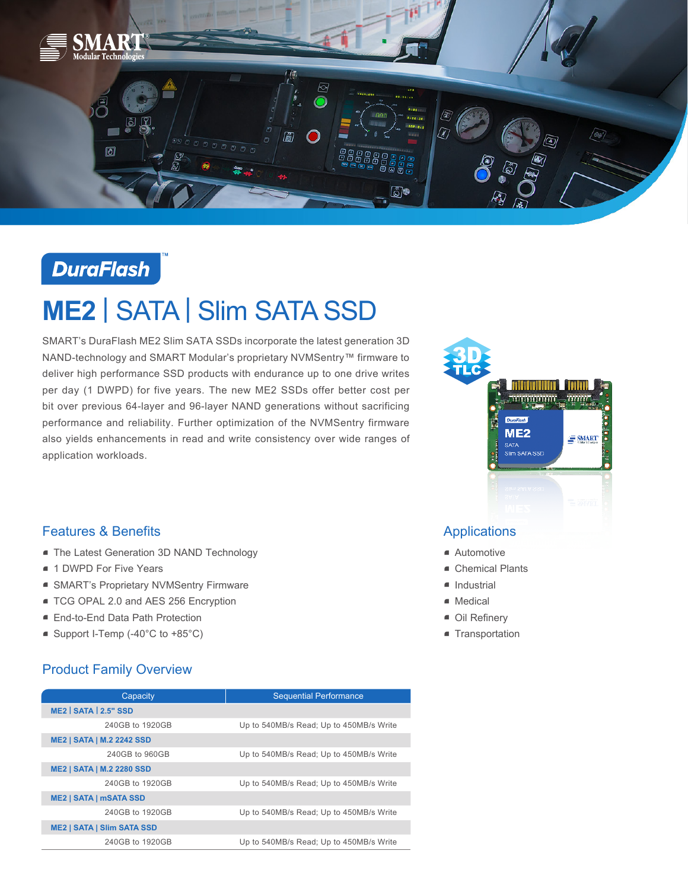

**DuraFlash** 

# **ME2** | SATA | Slim SATA SSD

SMART's DuraFlash ME2 Slim SATA SSDs incorporate the latest generation 3D NAND-technology and SMART Modular's proprietary NVMSentry™ firmware to deliver high performance SSD products with endurance up to one drive writes per day (1 DWPD) for five years. The new ME2 SSDs offer better cost per bit over previous 64-layer and 96-layer NAND generations without sacrificing performance and reliability. Further optimization of the NVMSentry firmware also yields enhancements in read and write consistency over wide ranges of application workloads.



## Features & Benefits

- **The Latest Generation 3D NAND Technology**
- 1 DWPD For Five Years
- SMART's Proprietary NVMSentry Firmware
- TCG OPAL 2.0 and AES 256 Encryption
- End-to-End Data Path Protection
- Support I-Temp (-40°C to +85°C)

### Product Family Overview

| Capacity                          | <b>Sequential Performance</b>           |
|-----------------------------------|-----------------------------------------|
| ME2 SATA 2.5" SSD                 |                                         |
| 240GB to 1920GB                   | Up to 540MB/s Read; Up to 450MB/s Write |
| <b>ME2   SATA   M.2 2242 SSD</b>  |                                         |
| 240GB to 960GB                    | Up to 540MB/s Read; Up to 450MB/s Write |
| <b>ME2   SATA   M.2 2280 SSD</b>  |                                         |
| 240GB to 1920GB                   | Up to 540MB/s Read; Up to 450MB/s Write |
| <b>ME2   SATA   mSATA SSD</b>     |                                         |
| 240GB to 1920GB                   | Up to 540MB/s Read; Up to 450MB/s Write |
| <b>ME2   SATA   SIIm SATA SSD</b> |                                         |
| 240GB to 1920GB                   | Up to 540MB/s Read; Up to 450MB/s Write |

### Applications

- Automotive
- Chemical Plants
- Industrial
- Medical
- Oil Refinery
- **Transportation**